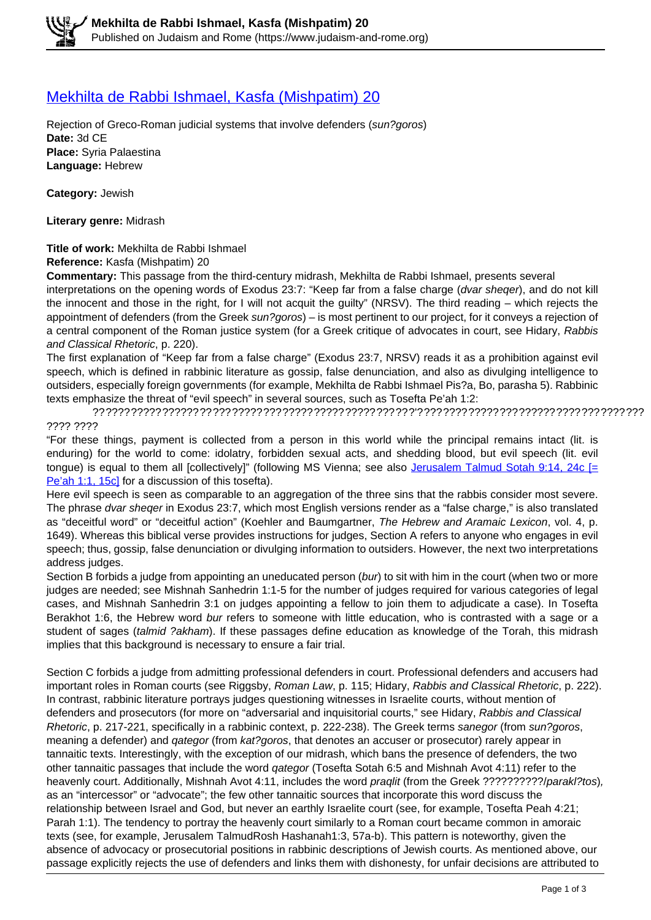## [Mekhilta de Rabbi Ishmael, Kasfa \(Mishpatim\) 20](https://www.judaism-and-rome.org/mekhilta-de-rabbi-ishmael-kasfa-mishpatim-20)

Rejection of Greco-Roman judicial systems that involve defenders (sun?goros) **Date:** 3d CE **Place:** Syria Palaestina **Language:** Hebrew

**Category:** Jewish

**Literary genre:** Midrash

## **Title of work:** Mekhilta de Rabbi Ishmael

**Reference:** Kasfa (Mishpatim) 20

**Commentary:** This passage from the third-century midrash, Mekhilta de Rabbi Ishmael, presents several interpretations on the opening words of Exodus 23:7: "Keep far from a false charge (dvar sheqer), and do not kill the innocent and those in the right, for I will not acquit the guilty" (NRSV). The third reading – which rejects the appointment of defenders (from the Greek sun?goros) – is most pertinent to our project, for it conveys a rejection of a central component of the Roman justice system (for a Greek critique of advocates in court, see Hidary, Rabbis and Classical Rhetoric, p. 220).

The first explanation of "Keep far from a false charge" (Exodus 23:7, NRSV) reads it as a prohibition against evil speech, which is defined in rabbinic literature as gossip, false denunciation, and also as divulging intelligence to outsiders, especially foreign governments (for example, Mekhilta de Rabbi Ishmael Pis?a, Bo, parasha 5). Rabbinic texts emphasize the threat of "evil speech" in several sources, such as Tosefta Pe'ah 1:2:

?? ???? ????? ?????? ?? ??? ????? ??? ????? ????? ????? ??? ?? ?'? ??? ???? ????? ??? ?????? ???? ??? ???? ??? ???? ????

"For these things, payment is collected from a person in this world while the principal remains intact (lit. is enduring) for the world to come: idolatry, forbidden sexual acts, and shedding blood, but evil speech (lit. evil tongue) is equal to them all [collectively]" (following MS Vienna; see also Jerusalem Talmud Sotah 9:14, 24c  $F$ Pe'ah 1:1, 15c] for a discussion of this tosefta).

Here evil speech is seen as comparable to an aggregation of the three sins that the rabbis consider most severe. The phrase dvar sheqer in Exodus 23:7, which most English versions render as a "false charge," is also translated as "deceitful word" or "deceitful action" (Koehler and Baumgartner, The Hebrew and Aramaic Lexicon, vol. 4, p. 1649). Whereas this biblical verse provides instructions for judges, Section A refers to anyone who engages in evil speech; thus, gossip, false denunciation or divulging information to outsiders. However, the next two interpretations address judges.

Section B forbids a judge from appointing an uneducated person (bur) to sit with him in the court (when two or more judges are needed; see Mishnah Sanhedrin 1:1-5 for the number of judges required for various categories of legal cases, and Mishnah Sanhedrin 3:1 on judges appointing a fellow to join them to adjudicate a case). In Tosefta Berakhot 1:6, the Hebrew word bur refers to someone with little education, who is contrasted with a sage or a student of sages (talmid ?akham). If these passages define education as knowledge of the Torah, this midrash implies that this background is necessary to ensure a fair trial.

Section C forbids a judge from admitting professional defenders in court. Professional defenders and accusers had important roles in Roman courts (see Riggsby, Roman Law, p. 115; Hidary, Rabbis and Classical Rhetoric, p. 222). In contrast, rabbinic literature portrays judges questioning witnesses in Israelite courts, without mention of defenders and prosecutors (for more on "adversarial and inquisitorial courts," see Hidary, Rabbis and Classical Rhetoric, p. 217-221, specifically in a rabbinic context, p. 222-238). The Greek terms sanegor (from sun?goros, meaning a defender) and *qategor* (from kat?goros, that denotes an accuser or prosecutor) rarely appear in tannaitic texts. Interestingly, with the exception of our midrash, which bans the presence of defenders, the two other tannaitic passages that include the word qategor (Tosefta Sotah 6:5 and Mishnah Avot 4:11) refer to the heavenly court. Additionally, Mishnah Avot 4:11, includes the word praglit (from the Greek ???????????/parakl?tos), as an "intercessor" or "advocate"; the few other tannaitic sources that incorporate this word discuss the relationship between Israel and God, but never an earthly Israelite court (see, for example, Tosefta Peah 4:21; Parah 1:1). The tendency to portray the heavenly court similarly to a Roman court became common in amoraic texts (see, for example, Jerusalem TalmudRosh Hashanah1:3, 57a-b). This pattern is noteworthy, given the absence of advocacy or prosecutorial positions in rabbinic descriptions of Jewish courts. As mentioned above, our passage explicitly rejects the use of defenders and links them with dishonesty, for unfair decisions are attributed to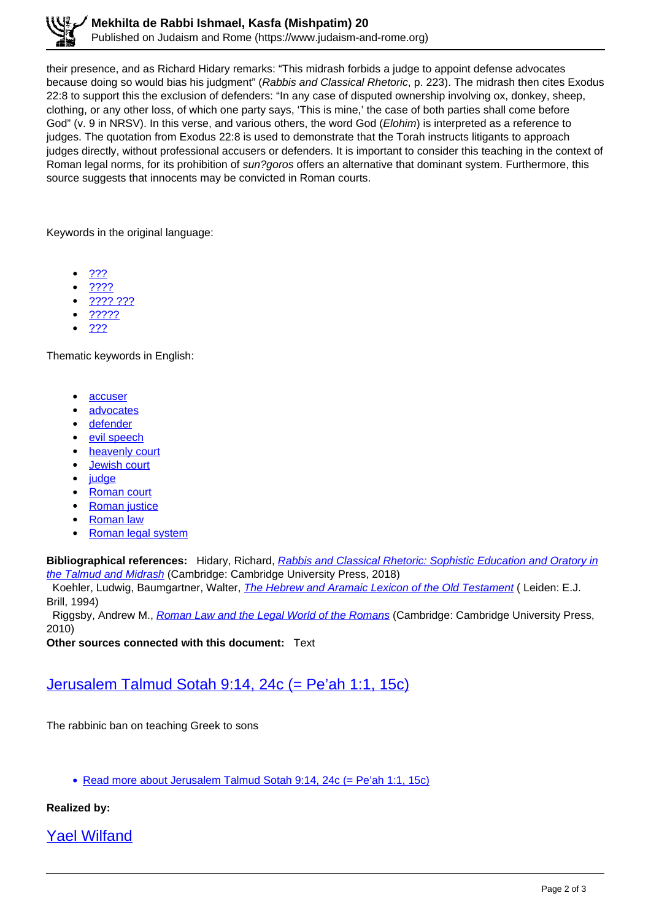their presence, and as Richard Hidary remarks: "This midrash forbids a judge to appoint defense advocates because doing so would bias his judgment" (Rabbis and Classical Rhetoric, p. 223). The midrash then cites Exodus 22:8 to support this the exclusion of defenders: "In any case of disputed ownership involving ox, donkey, sheep, clothing, or any other loss, of which one party says, 'This is mine,' the case of both parties shall come before God" (v. 9 in NRSV). In this verse, and various others, the word God (Elohim) is interpreted as a reference to judges. The quotation from Exodus 22:8 is used to demonstrate that the Torah instructs litigants to approach judges directly, without professional accusers or defenders. It is important to consider this teaching in the context of Roman legal norms, for its prohibition of *sun?goros* offers an alternative that dominant system. Furthermore, this source suggests that innocents may be convicted in Roman courts.

Keywords in the original language:

- ???
- ????
- ???? ???
- ?????
- <u>???</u>

Thematic keywords in English:

- accuser
- advocates
- defender
- evil speech
- heavenly court
- Jewish court
- judge
- Roman court
- Roman justice
- Roman law
- Roman legal system

**Bibliographical references:** Hidary, Richard, Rabbis and Classical Rhetoric: Sophistic Education and Oratory in the Talmud and Midrash (Cambridge: Cambridge University Press, 2018)

Koehler, Ludwig, Baumgartner, Walter, *The Hebrew and Aramaic Lexicon of the Old Testament* (Leiden: E.J. Brill, 1994)

Riggsby, Andrew M., Roman Law and the Legal World of the Romans (Cambridge: Cambridge University Press, 2010)

**Other sources connected with this document:** Text

## Jerusalem Talmud Sotah 9:14, 24c (= Pe'ah 1:1, 15c)

The rabbinic ban on teaching Greek to sons

Read more about Jerusalem Talmud Sotah 9:14, 24c (= Pe'ah 1:1, 15c)

## **Realized by:**

Yael Wilfand